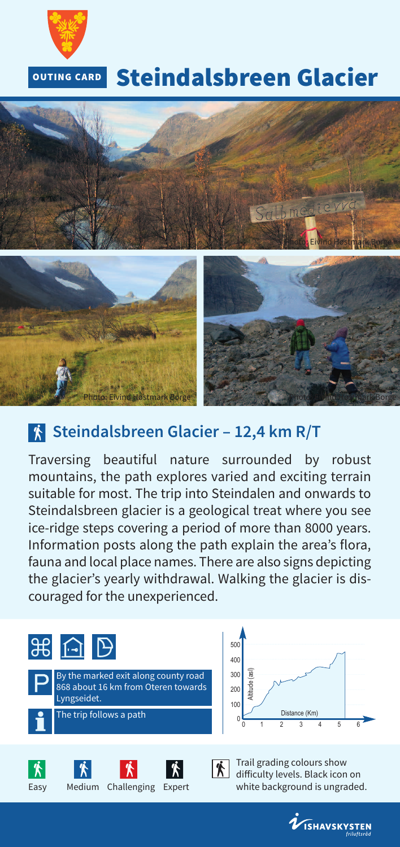

#### **Steindalsbreen Glacier OUTING CARD**



## **Steindalsbreen Glacier – 12,4 km R/T**

Traversing beautiful nature surrounded by robust mountains, the path explores varied and exciting terrain suitable for most. The trip into Steindalen and onwards to Steindalsbreen glacier is a geological treat where you see ice-ridge steps covering a period of more than 8000 years. Information posts along the path explain the area's flora, fauna and local place names. There are also signs depicting the glacier's yearly withdrawal. Walking the glacier is discouraged for the unexperienced.